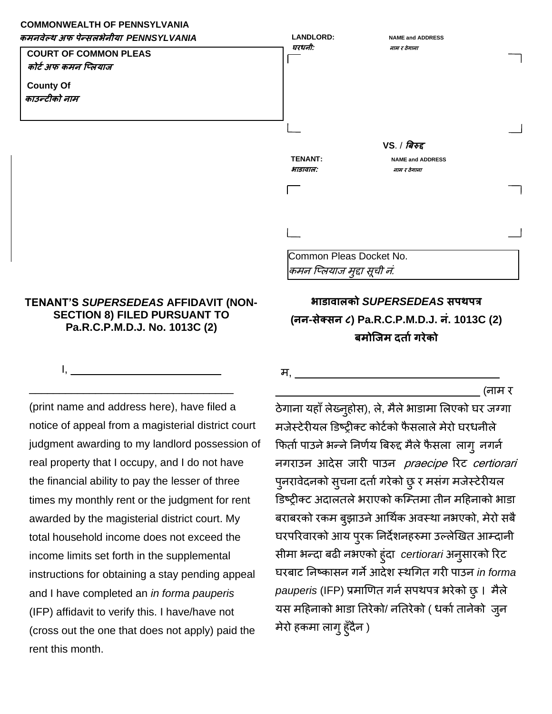## **COMMONWEALTH OF PENNSYLVANIA**



## **TENANT'S** *SUPERSEDEAS* **AFFIDAVIT (NON-SECTION 8) FILED PURSUANT TO Pa.R.C.P.M.D.J. No. 1013C (2)**

 $I, \quad \blacksquare$ 

\_\_\_\_\_\_\_\_\_\_\_\_\_\_\_\_\_\_\_\_\_\_\_\_\_\_\_\_\_\_\_\_\_\_ (print name and address here), have filed a notice of appeal from a magisterial district court judgment awarding to my landlord possession of real property that I occupy, and I do not have the financial ability to pay the lesser of three times my monthly rent or the judgment for rent awarded by the magisterial district court. My total household income does not exceed the income limits set forth in the supplemental instructions for obtaining a stay pending appeal and I have completed an *in forma pauperis*  (IFP) affidavit to verify this. I have/have not (cross out the one that does not apply) paid the rent this month.

**भाडावालको** *SUPERSEDEAS* **सपथपत्र (नन-सेक्सन ८) Pa.R.C.P.M.D.J. नं. 1013C (2) िमोप्जम दर्ाटगरेको**

म, <u>\_\_\_\_\_\_\_\_\_\_\_\_\_\_</u>

\_\_\_\_\_\_\_\_\_\_\_\_\_\_\_\_\_\_\_\_\_\_\_\_\_\_\_\_\_\_\_\_\_\_ (नाम र

ठेगाना यहाँ लेख्नुहोस), ले, मैले भाडामा लिएको घर जग्गा मजेस्टेरीयल डिष्ट्रीक्ट कोर्टको फैसलाले मेरो घरधनीले फिर्ता पाउने भन्ने निर्णय बिरुद्द मैले फैसला लागू नगर्न नगराउन आदेस जारी पाउन *praecipe* रिट certiorari पुनरावेदनको सुचना दर्ता गरेको छु र मसंग मजेस्टेरीयल डिष्ट्रीक्ट अदालतले भराएको कम्तिमा तीन महिनाको भाडा बराबरको रकम बुझाउने आर्थिक अवस्था नभएको, मेरो सबै घरपरिवारको आय प्रक निर्देशनहरुमा उल्लेखित आम्दानी सीमा भन्दा िढी नभएको हुंदा *certiorari* अनुसारको ररट घरिाट ननष्ट्कासन गनेआदेश स्थर्गर् गरी पाउन *in forma pauperis* (IFP) प्रमाणित गर्न सपथपत्र भरेको छु। मैले यस महिनाको भाडा तिरेको/ नतिरेको ( धर्का तानेको जुन मेरो हकमा लागु हुँदैन )